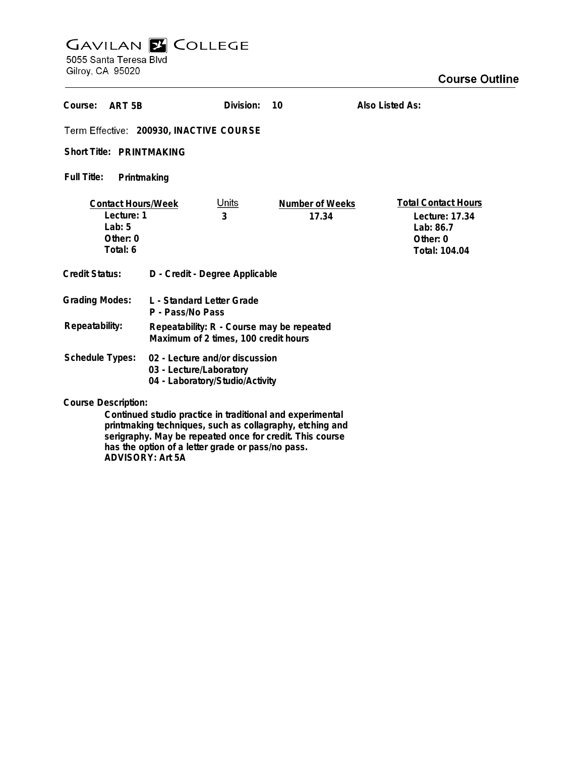# **GAVILAN E COLLEGE**<br>5055 Santa Teresa Blvd

Gilroy, CA 95020

| Course:<br>ART <sub>5</sub> B                                                                                   |                                                                                   | Division:         | 10                       | Also Listed As:                                                                        |
|-----------------------------------------------------------------------------------------------------------------|-----------------------------------------------------------------------------------|-------------------|--------------------------|----------------------------------------------------------------------------------------|
| Term Effective: 200930, INACTIVE COURSE                                                                         |                                                                                   |                   |                          |                                                                                        |
| Short Title: PRINTMAKING                                                                                        |                                                                                   |                   |                          |                                                                                        |
| <b>Full Title:</b><br>Printmaking                                                                               |                                                                                   |                   |                          |                                                                                        |
| <b>Contact Hours/Week</b><br>Lecture: 1<br>$1$ ab: 5<br>Other: 0<br>Total: 6                                    |                                                                                   | <u>Units</u><br>3 | Number of Weeks<br>17.34 | <b>Total Contact Hours</b><br>Lecture: 17.34<br>Lab: 86.7<br>Other: 0<br>Total: 104.04 |
| <b>Credit Status:</b>                                                                                           | D - Credit - Degree Applicable                                                    |                   |                          |                                                                                        |
| <b>Grading Modes:</b>                                                                                           | L - Standard Letter Grade<br>P - Pass/No Pass                                     |                   |                          |                                                                                        |
| Repeatability:                                                                                                  | Repeatability: R - Course may be repeated<br>Maximum of 2 times, 100 credit hours |                   |                          |                                                                                        |
| Schedule Types:<br>02 - Lecture and/or discussion<br>03 - Lecture/Laboratory<br>04 - Laboratory/Studio/Activity |                                                                                   |                   |                          |                                                                                        |
| <b>Course Description:</b><br>Continued studio practice in traditional and experimental                         |                                                                                   |                   |                          |                                                                                        |

**Continued studio practice in traditional and experimental printmaking techniques, such as collagraphy, etching and serigraphy. May be repeated once for credit. This course has the option of a letter grade or pass/no pass. ADVISORY: Art 5A**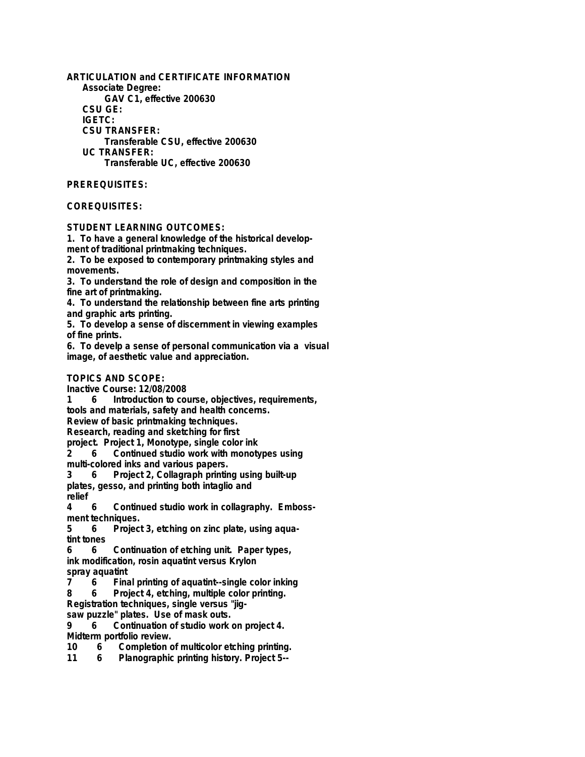**ARTICULATION and CERTIFICATE INFORMATION Associate Degree: GAV C1, effective 200630 CSU GE: IGETC: CSU TRANSFER: Transferable CSU, effective 200630 UC TRANSFER: Transferable UC, effective 200630**

#### **PREREQUISITES:**

#### **COREQUISITES:**

**STUDENT LEARNING OUTCOMES:**

**1. To have a general knowledge of the historical development of traditional printmaking techniques.**

**2. To be exposed to contemporary printmaking styles and movements.**

**3. To understand the role of design and composition in the fine art of printmaking.**

**4. To understand the relationship between fine arts printing and graphic arts printing.**

**5. To develop a sense of discernment in viewing examples of fine prints.**

**6. To develp a sense of personal communication via a visual image, of aesthetic value and appreciation.**

#### **TOPICS AND SCOPE:**

**Inactive Course: 12/08/2008**

**1 6 Introduction to course, objectives, requirements, tools and materials, safety and health concerns.**

**Review of basic printmaking techniques.**

**Research, reading and sketching for first**

**project. Project 1, Monotype, single color ink**

**2 6 Continued studio work with monotypes using multi-colored inks and various papers.**

**3 6 Project 2, Collagraph printing using built-up plates, gesso, and printing both intaglio and relief**

**4 6 Continued studio work in collagraphy. Embossment techniques.**

**5 6 Project 3, etching on zinc plate, using aquatint tones**

**6 6 Continuation of etching unit. Paper types, ink modification, rosin aquatint versus Krylon**

**spray aquatint 7 6 Final printing of aquatint--single color inking**

**8 6 Project 4, etching, multiple color printing.**

**Registration techniques, single versus "jigsaw puzzle" plates. Use of mask outs.**

**9 6 Continuation of studio work on project 4.**

**Midterm portfolio review.**

**10 6 Completion of multicolor etching printing.**

**11 6 Planographic printing history. Project 5--**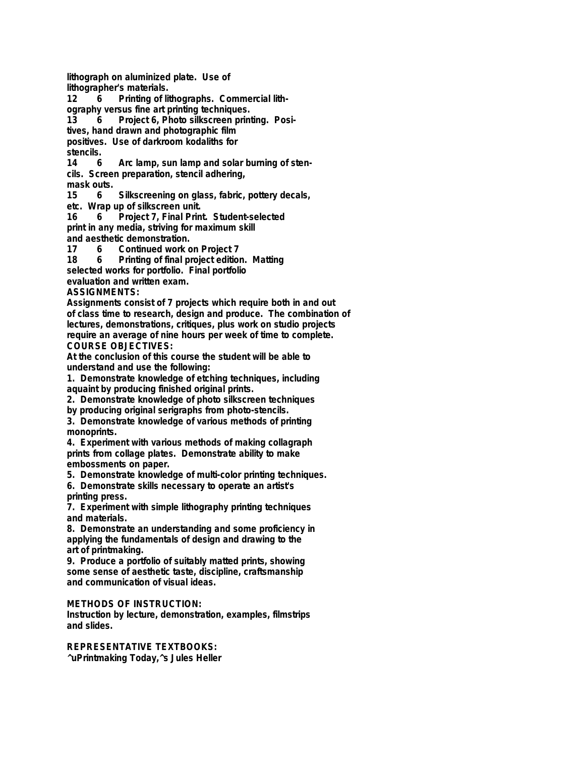**lithograph on aluminized plate. Use of lithographer's materials.**

**12 6 Printing of lithographs. Commercial lithography versus fine art printing techniques.**

**13 6 Project 6, Photo silkscreen printing. Positives, hand drawn and photographic film**

**positives. Use of darkroom kodaliths for** stencils.<br>14 6

**14 6 Arc lamp, sun lamp and solar burning of stencils. Screen preparation, stencil adhering, mask outs.**

**15 6 Silkscreening on glass, fabric, pottery decals,**

**etc. Wrap up of silkscreen unit.**

**16 6 Project 7, Final Print. Student-selected print in any media, striving for maximum skill and aesthetic demonstration.**

**17 6 Continued work on Project 7**

**18 6 Printing of final project edition. Matting selected works for portfolio. Final portfolio evaluation and written exam.**

## **ASSIGNMENTS:**

**Assignments consist of 7 projects which require both in and out of class time to research, design and produce. The combination of lectures, demonstrations, critiques, plus work on studio projects require an average of nine hours per week of time to complete. COURSE OBJECTIVES:**

**At the conclusion of this course the student will be able to understand and use the following:**

**1. Demonstrate knowledge of etching techniques, including aquaint by producing finished original prints.**

**2. Demonstrate knowledge of photo silkscreen techniques**

**by producing original serigraphs from photo-stencils.**

**3. Demonstrate knowledge of various methods of printing monoprints.**

**4. Experiment with various methods of making collagraph prints from collage plates. Demonstrate ability to make embossments on paper.**

**5. Demonstrate knowledge of multi-color printing techniques.**

**6. Demonstrate skills necessary to operate an artist's printing press.**

**7. Experiment with simple lithography printing techniques and materials.**

**8. Demonstrate an understanding and some proficiency in applying the fundamentals of design and drawing to the art of printmaking.**

**9. Produce a portfolio of suitably matted prints, showing some sense of aesthetic taste, discipline, craftsmanship and communication of visual ideas.**

### **METHODS OF INSTRUCTION:**

**Instruction by lecture, demonstration, examples, filmstrips and slides.**

# **REPRESENTATIVE TEXTBOOKS:**

**^uPrintmaking Today,^s Jules Heller**